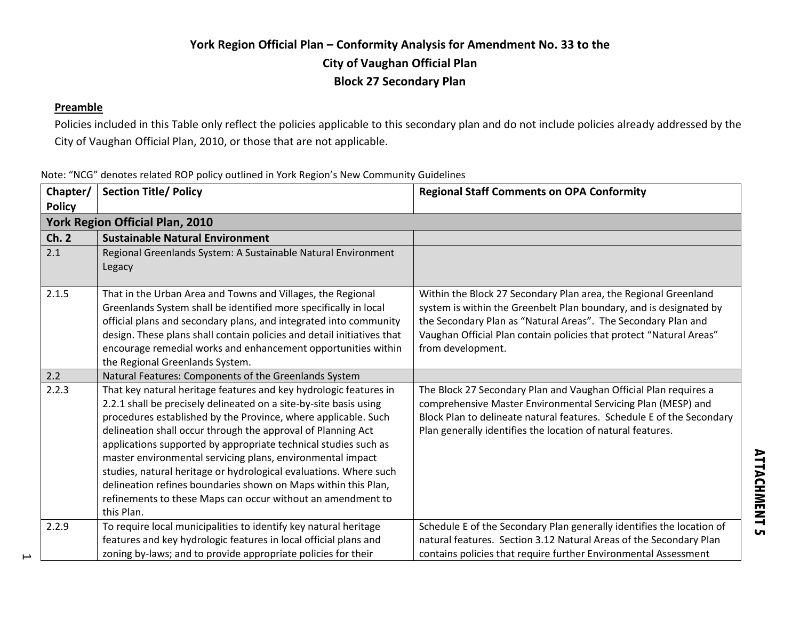### **York Region Official Plan – Conformity Analysis for Amendment No. 33 to the City of Vaughan Official Plan Block 27 Secondary Plan**

#### **Preamble**

 $\overline{\phantom{a}}$ 

Policies included in this Table only reflect the policies applicable to this secondary plan and do not include policies already addressed by the City of Vaughan Official Plan, 2010, or those that are not applicable.

|  |  |  | Note: "NCG" denotes related ROP policy outlined in York Region's New Community Guidelines |  |
|--|--|--|-------------------------------------------------------------------------------------------|--|
|  |  |  |                                                                                           |  |

| Chapter/<br><b>Policy</b> | <b>Section Title/ Policy</b>                                                                                                                                                                                                                                                                                                                                                                                                                                                                                                                                                                                                  | <b>Regional Staff Comments on OPA Conformity</b>                                                                                                                                                                                                                                                   |
|---------------------------|-------------------------------------------------------------------------------------------------------------------------------------------------------------------------------------------------------------------------------------------------------------------------------------------------------------------------------------------------------------------------------------------------------------------------------------------------------------------------------------------------------------------------------------------------------------------------------------------------------------------------------|----------------------------------------------------------------------------------------------------------------------------------------------------------------------------------------------------------------------------------------------------------------------------------------------------|
|                           | <b>York Region Official Plan, 2010</b>                                                                                                                                                                                                                                                                                                                                                                                                                                                                                                                                                                                        |                                                                                                                                                                                                                                                                                                    |
| Ch.2                      | <b>Sustainable Natural Environment</b>                                                                                                                                                                                                                                                                                                                                                                                                                                                                                                                                                                                        |                                                                                                                                                                                                                                                                                                    |
| 2.1                       | Regional Greenlands System: A Sustainable Natural Environment<br>Legacy                                                                                                                                                                                                                                                                                                                                                                                                                                                                                                                                                       |                                                                                                                                                                                                                                                                                                    |
| 2.1.5                     | That in the Urban Area and Towns and Villages, the Regional<br>Greenlands System shall be identified more specifically in local<br>official plans and secondary plans, and integrated into community<br>design. These plans shall contain policies and detail initiatives that<br>encourage remedial works and enhancement opportunities within<br>the Regional Greenlands System.                                                                                                                                                                                                                                            | Within the Block 27 Secondary Plan area, the Regional Greenland<br>system is within the Greenbelt Plan boundary, and is designated by<br>the Secondary Plan as "Natural Areas". The Secondary Plan and<br>Vaughan Official Plan contain policies that protect "Natural Areas"<br>from development. |
| 2.2                       | Natural Features: Components of the Greenlands System                                                                                                                                                                                                                                                                                                                                                                                                                                                                                                                                                                         |                                                                                                                                                                                                                                                                                                    |
| 2.2.3                     | That key natural heritage features and key hydrologic features in<br>2.2.1 shall be precisely delineated on a site-by-site basis using<br>procedures established by the Province, where applicable. Such<br>delineation shall occur through the approval of Planning Act<br>applications supported by appropriate technical studies such as<br>master environmental servicing plans, environmental impact<br>studies, natural heritage or hydrological evaluations. Where such<br>delineation refines boundaries shown on Maps within this Plan,<br>refinements to these Maps can occur without an amendment to<br>this Plan. | The Block 27 Secondary Plan and Vaughan Official Plan requires a<br>comprehensive Master Environmental Servicing Plan (MESP) and<br>Block Plan to delineate natural features. Schedule E of the Secondary<br>Plan generally identifies the location of natural features.                           |
| 2.2.9                     | To require local municipalities to identify key natural heritage<br>features and key hydrologic features in local official plans and<br>zoning by-laws; and to provide appropriate policies for their                                                                                                                                                                                                                                                                                                                                                                                                                         | Schedule E of the Secondary Plan generally identifies the location of<br>natural features. Section 3.12 Natural Areas of the Secondary Plan<br>contains policies that require further Environmental Assessment                                                                                     |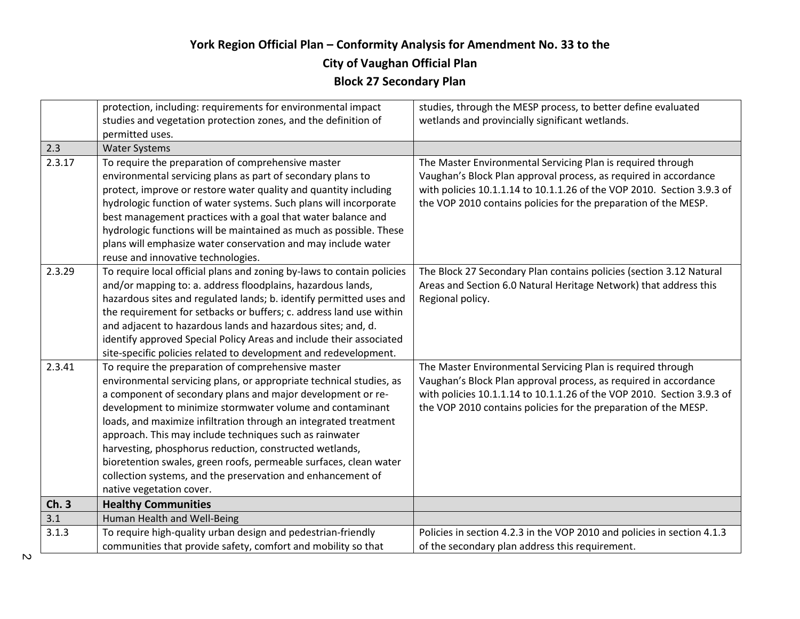## **City of Vaughan Official Plan**

|        | protection, including: requirements for environmental impact           | studies, through the MESP process, to better define evaluated           |
|--------|------------------------------------------------------------------------|-------------------------------------------------------------------------|
|        | studies and vegetation protection zones, and the definition of         | wetlands and provincially significant wetlands.                         |
|        | permitted uses.                                                        |                                                                         |
| 2.3    | <b>Water Systems</b>                                                   |                                                                         |
| 2.3.17 | To require the preparation of comprehensive master                     | The Master Environmental Servicing Plan is required through             |
|        | environmental servicing plans as part of secondary plans to            | Vaughan's Block Plan approval process, as required in accordance        |
|        | protect, improve or restore water quality and quantity including       | with policies 10.1.1.14 to 10.1.1.26 of the VOP 2010. Section 3.9.3 of  |
|        | hydrologic function of water systems. Such plans will incorporate      | the VOP 2010 contains policies for the preparation of the MESP.         |
|        | best management practices with a goal that water balance and           |                                                                         |
|        | hydrologic functions will be maintained as much as possible. These     |                                                                         |
|        | plans will emphasize water conservation and may include water          |                                                                         |
|        | reuse and innovative technologies.                                     |                                                                         |
| 2.3.29 | To require local official plans and zoning by-laws to contain policies | The Block 27 Secondary Plan contains policies (section 3.12 Natural     |
|        | and/or mapping to: a. address floodplains, hazardous lands,            | Areas and Section 6.0 Natural Heritage Network) that address this       |
|        | hazardous sites and regulated lands; b. identify permitted uses and    | Regional policy.                                                        |
|        | the requirement for setbacks or buffers; c. address land use within    |                                                                         |
|        | and adjacent to hazardous lands and hazardous sites; and, d.           |                                                                         |
|        | identify approved Special Policy Areas and include their associated    |                                                                         |
|        | site-specific policies related to development and redevelopment.       |                                                                         |
| 2.3.41 | To require the preparation of comprehensive master                     | The Master Environmental Servicing Plan is required through             |
|        | environmental servicing plans, or appropriate technical studies, as    | Vaughan's Block Plan approval process, as required in accordance        |
|        | a component of secondary plans and major development or re-            | with policies 10.1.1.14 to 10.1.1.26 of the VOP 2010. Section 3.9.3 of  |
|        | development to minimize stormwater volume and contaminant              | the VOP 2010 contains policies for the preparation of the MESP.         |
|        | loads, and maximize infiltration through an integrated treatment       |                                                                         |
|        | approach. This may include techniques such as rainwater                |                                                                         |
|        | harvesting, phosphorus reduction, constructed wetlands,                |                                                                         |
|        | bioretention swales, green roofs, permeable surfaces, clean water      |                                                                         |
|        | collection systems, and the preservation and enhancement of            |                                                                         |
|        | native vegetation cover.                                               |                                                                         |
| Ch.3   | <b>Healthy Communities</b>                                             |                                                                         |
| 3.1    | Human Health and Well-Being                                            |                                                                         |
| 3.1.3  | To require high-quality urban design and pedestrian-friendly           | Policies in section 4.2.3 in the VOP 2010 and policies in section 4.1.3 |
|        | communities that provide safety, comfort and mobility so that          | of the secondary plan address this requirement.                         |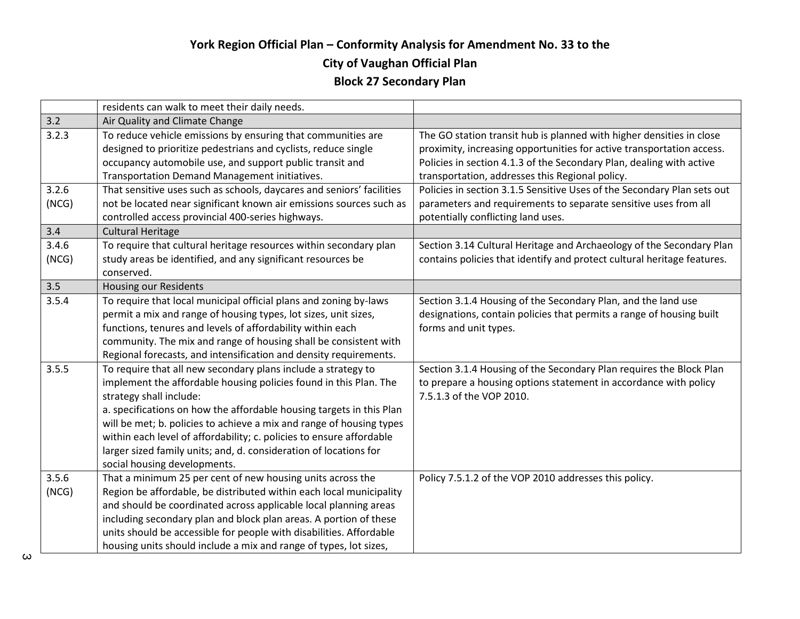#### **City of Vaughan Official Plan**

|       | residents can walk to meet their daily needs.                         |                                                                         |
|-------|-----------------------------------------------------------------------|-------------------------------------------------------------------------|
| 3.2   | Air Quality and Climate Change                                        |                                                                         |
| 3.2.3 | To reduce vehicle emissions by ensuring that communities are          | The GO station transit hub is planned with higher densities in close    |
|       | designed to prioritize pedestrians and cyclists, reduce single        | proximity, increasing opportunities for active transportation access.   |
|       | occupancy automobile use, and support public transit and              | Policies in section 4.1.3 of the Secondary Plan, dealing with active    |
|       | Transportation Demand Management initiatives.                         | transportation, addresses this Regional policy.                         |
| 3.2.6 | That sensitive uses such as schools, daycares and seniors' facilities | Policies in section 3.1.5 Sensitive Uses of the Secondary Plan sets out |
| (NCG) | not be located near significant known air emissions sources such as   | parameters and requirements to separate sensitive uses from all         |
|       | controlled access provincial 400-series highways.                     | potentially conflicting land uses.                                      |
| 3.4   | <b>Cultural Heritage</b>                                              |                                                                         |
| 3.4.6 | To require that cultural heritage resources within secondary plan     | Section 3.14 Cultural Heritage and Archaeology of the Secondary Plan    |
| (NCG) | study areas be identified, and any significant resources be           | contains policies that identify and protect cultural heritage features. |
|       | conserved.                                                            |                                                                         |
| 3.5   | Housing our Residents                                                 |                                                                         |
| 3.5.4 | To require that local municipal official plans and zoning by-laws     | Section 3.1.4 Housing of the Secondary Plan, and the land use           |
|       | permit a mix and range of housing types, lot sizes, unit sizes,       | designations, contain policies that permits a range of housing built    |
|       | functions, tenures and levels of affordability within each            | forms and unit types.                                                   |
|       | community. The mix and range of housing shall be consistent with      |                                                                         |
|       | Regional forecasts, and intensification and density requirements.     |                                                                         |
| 3.5.5 | To require that all new secondary plans include a strategy to         | Section 3.1.4 Housing of the Secondary Plan requires the Block Plan     |
|       | implement the affordable housing policies found in this Plan. The     | to prepare a housing options statement in accordance with policy        |
|       | strategy shall include:                                               | 7.5.1.3 of the VOP 2010.                                                |
|       | a. specifications on how the affordable housing targets in this Plan  |                                                                         |
|       | will be met; b. policies to achieve a mix and range of housing types  |                                                                         |
|       | within each level of affordability; c. policies to ensure affordable  |                                                                         |
|       | larger sized family units; and, d. consideration of locations for     |                                                                         |
|       | social housing developments.                                          |                                                                         |
| 3.5.6 | That a minimum 25 per cent of new housing units across the            | Policy 7.5.1.2 of the VOP 2010 addresses this policy.                   |
| (NCG) | Region be affordable, be distributed within each local municipality   |                                                                         |
|       | and should be coordinated across applicable local planning areas      |                                                                         |
|       | including secondary plan and block plan areas. A portion of these     |                                                                         |
|       | units should be accessible for people with disabilities. Affordable   |                                                                         |
|       | housing units should include a mix and range of types, lot sizes,     |                                                                         |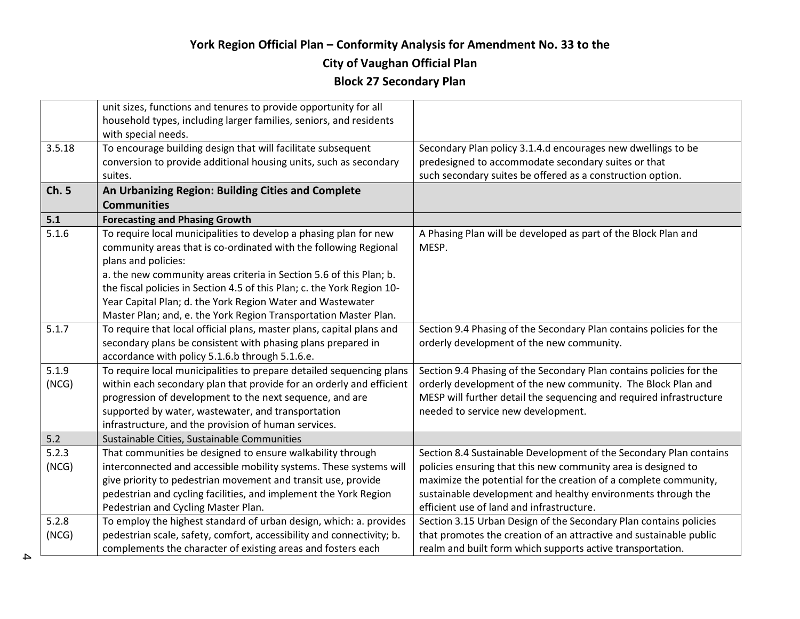#### **City of Vaughan Official Plan**

|        | unit sizes, functions and tenures to provide opportunity for all                                                                      |                                                                                                                     |
|--------|---------------------------------------------------------------------------------------------------------------------------------------|---------------------------------------------------------------------------------------------------------------------|
|        | household types, including larger families, seniors, and residents                                                                    |                                                                                                                     |
|        | with special needs.                                                                                                                   |                                                                                                                     |
| 3.5.18 | To encourage building design that will facilitate subsequent<br>conversion to provide additional housing units, such as secondary     | Secondary Plan policy 3.1.4.d encourages new dwellings to be<br>predesigned to accommodate secondary suites or that |
|        | suites.                                                                                                                               | such secondary suites be offered as a construction option.                                                          |
| Ch. 5  |                                                                                                                                       |                                                                                                                     |
|        | An Urbanizing Region: Building Cities and Complete<br><b>Communities</b>                                                              |                                                                                                                     |
| 5.1    |                                                                                                                                       |                                                                                                                     |
| 5.1.6  | <b>Forecasting and Phasing Growth</b>                                                                                                 |                                                                                                                     |
|        | To require local municipalities to develop a phasing plan for new<br>community areas that is co-ordinated with the following Regional | A Phasing Plan will be developed as part of the Block Plan and<br>MESP.                                             |
|        | plans and policies:                                                                                                                   |                                                                                                                     |
|        | a. the new community areas criteria in Section 5.6 of this Plan; b.                                                                   |                                                                                                                     |
|        | the fiscal policies in Section 4.5 of this Plan; c. the York Region 10-                                                               |                                                                                                                     |
|        | Year Capital Plan; d. the York Region Water and Wastewater                                                                            |                                                                                                                     |
|        | Master Plan; and, e. the York Region Transportation Master Plan.                                                                      |                                                                                                                     |
| 5.1.7  | To require that local official plans, master plans, capital plans and                                                                 | Section 9.4 Phasing of the Secondary Plan contains policies for the                                                 |
|        | secondary plans be consistent with phasing plans prepared in                                                                          | orderly development of the new community.                                                                           |
|        | accordance with policy 5.1.6.b through 5.1.6.e.                                                                                       |                                                                                                                     |
| 5.1.9  | To require local municipalities to prepare detailed sequencing plans                                                                  | Section 9.4 Phasing of the Secondary Plan contains policies for the                                                 |
| (NCG)  | within each secondary plan that provide for an orderly and efficient                                                                  | orderly development of the new community. The Block Plan and                                                        |
|        | progression of development to the next sequence, and are                                                                              | MESP will further detail the sequencing and required infrastructure                                                 |
|        | supported by water, wastewater, and transportation                                                                                    | needed to service new development.                                                                                  |
|        | infrastructure, and the provision of human services.                                                                                  |                                                                                                                     |
| $5.2$  | Sustainable Cities, Sustainable Communities                                                                                           |                                                                                                                     |
| 5.2.3  | That communities be designed to ensure walkability through                                                                            | Section 8.4 Sustainable Development of the Secondary Plan contains                                                  |
| (NCG)  | interconnected and accessible mobility systems. These systems will                                                                    | policies ensuring that this new community area is designed to                                                       |
|        | give priority to pedestrian movement and transit use, provide                                                                         | maximize the potential for the creation of a complete community,                                                    |
|        | pedestrian and cycling facilities, and implement the York Region                                                                      | sustainable development and healthy environments through the                                                        |
|        | Pedestrian and Cycling Master Plan.                                                                                                   | efficient use of land and infrastructure.                                                                           |
| 5.2.8  | To employ the highest standard of urban design, which: a. provides                                                                    | Section 3.15 Urban Design of the Secondary Plan contains policies                                                   |
| (NCG)  | pedestrian scale, safety, comfort, accessibility and connectivity; b.                                                                 | that promotes the creation of an attractive and sustainable public                                                  |
|        | complements the character of existing areas and fosters each                                                                          | realm and built form which supports active transportation.                                                          |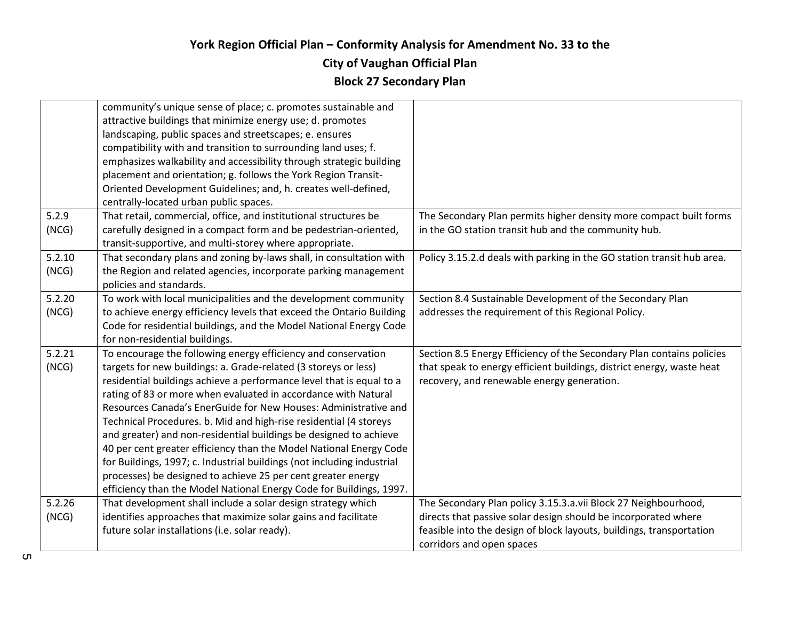#### **City of Vaughan Official Plan**

|        | community's unique sense of place; c. promotes sustainable and         |                                                                        |
|--------|------------------------------------------------------------------------|------------------------------------------------------------------------|
|        | attractive buildings that minimize energy use; d. promotes             |                                                                        |
|        | landscaping, public spaces and streetscapes; e. ensures                |                                                                        |
|        | compatibility with and transition to surrounding land uses; f.         |                                                                        |
|        | emphasizes walkability and accessibility through strategic building    |                                                                        |
|        | placement and orientation; g. follows the York Region Transit-         |                                                                        |
|        | Oriented Development Guidelines; and, h. creates well-defined,         |                                                                        |
|        | centrally-located urban public spaces.                                 |                                                                        |
| 5.2.9  | That retail, commercial, office, and institutional structures be       | The Secondary Plan permits higher density more compact built forms     |
| (NCG)  | carefully designed in a compact form and be pedestrian-oriented,       | in the GO station transit hub and the community hub.                   |
|        | transit-supportive, and multi-storey where appropriate.                |                                                                        |
| 5.2.10 | That secondary plans and zoning by-laws shall, in consultation with    | Policy 3.15.2.d deals with parking in the GO station transit hub area. |
| (NCG)  | the Region and related agencies, incorporate parking management        |                                                                        |
|        | policies and standards.                                                |                                                                        |
| 5.2.20 | To work with local municipalities and the development community        | Section 8.4 Sustainable Development of the Secondary Plan              |
| (NCG)  | to achieve energy efficiency levels that exceed the Ontario Building   | addresses the requirement of this Regional Policy.                     |
|        | Code for residential buildings, and the Model National Energy Code     |                                                                        |
|        | for non-residential buildings.                                         |                                                                        |
| 5.2.21 | To encourage the following energy efficiency and conservation          | Section 8.5 Energy Efficiency of the Secondary Plan contains policies  |
| (NCG)  | targets for new buildings: a. Grade-related (3 storeys or less)        | that speak to energy efficient buildings, district energy, waste heat  |
|        | residential buildings achieve a performance level that is equal to a   | recovery, and renewable energy generation.                             |
|        | rating of 83 or more when evaluated in accordance with Natural         |                                                                        |
|        | Resources Canada's EnerGuide for New Houses: Administrative and        |                                                                        |
|        | Technical Procedures. b. Mid and high-rise residential (4 storeys      |                                                                        |
|        | and greater) and non-residential buildings be designed to achieve      |                                                                        |
|        | 40 per cent greater efficiency than the Model National Energy Code     |                                                                        |
|        | for Buildings, 1997; c. Industrial buildings (not including industrial |                                                                        |
|        | processes) be designed to achieve 25 per cent greater energy           |                                                                        |
|        | efficiency than the Model National Energy Code for Buildings, 1997.    |                                                                        |
| 5.2.26 | That development shall include a solar design strategy which           | The Secondary Plan policy 3.15.3.a.vii Block 27 Neighbourhood,         |
| (NCG)  | identifies approaches that maximize solar gains and facilitate         | directs that passive solar design should be incorporated where         |
|        | future solar installations (i.e. solar ready).                         | feasible into the design of block layouts, buildings, transportation   |
|        |                                                                        | corridors and open spaces                                              |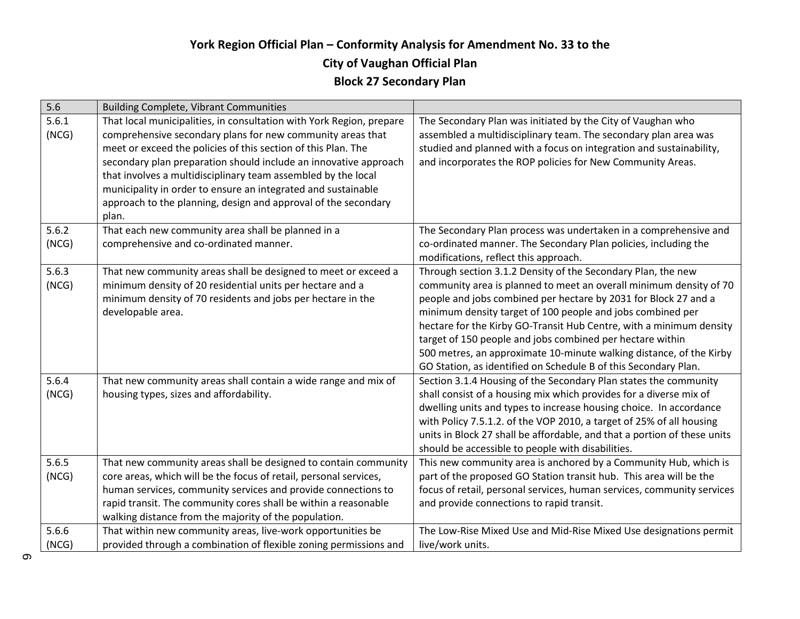## **York Region Official Plan – Conformity Analysis for Amendment No. 33 to the City of Vaughan Official Plan Block 27 Secondary Plan**

| 5.6            | <b>Building Complete, Vibrant Communities</b>                                                                                                                                                       |                                                                                                                                                                                                       |
|----------------|-----------------------------------------------------------------------------------------------------------------------------------------------------------------------------------------------------|-------------------------------------------------------------------------------------------------------------------------------------------------------------------------------------------------------|
| 5.6.1<br>(NCG) | That local municipalities, in consultation with York Region, prepare<br>comprehensive secondary plans for new community areas that<br>meet or exceed the policies of this section of this Plan. The | The Secondary Plan was initiated by the City of Vaughan who<br>assembled a multidisciplinary team. The secondary plan area was<br>studied and planned with a focus on integration and sustainability, |
|                | secondary plan preparation should include an innovative approach                                                                                                                                    | and incorporates the ROP policies for New Community Areas.                                                                                                                                            |
|                | that involves a multidisciplinary team assembled by the local                                                                                                                                       |                                                                                                                                                                                                       |
|                | municipality in order to ensure an integrated and sustainable                                                                                                                                       |                                                                                                                                                                                                       |
|                | approach to the planning, design and approval of the secondary<br>plan.                                                                                                                             |                                                                                                                                                                                                       |
| 5.6.2          | That each new community area shall be planned in a                                                                                                                                                  | The Secondary Plan process was undertaken in a comprehensive and                                                                                                                                      |
| (NCG)          | comprehensive and co-ordinated manner.                                                                                                                                                              | co-ordinated manner. The Secondary Plan policies, including the<br>modifications, reflect this approach.                                                                                              |
| 5.6.3          | That new community areas shall be designed to meet or exceed a                                                                                                                                      | Through section 3.1.2 Density of the Secondary Plan, the new                                                                                                                                          |
| (NCG)          | minimum density of 20 residential units per hectare and a                                                                                                                                           | community area is planned to meet an overall minimum density of 70                                                                                                                                    |
|                | minimum density of 70 residents and jobs per hectare in the                                                                                                                                         | people and jobs combined per hectare by 2031 for Block 27 and a                                                                                                                                       |
|                | developable area.                                                                                                                                                                                   | minimum density target of 100 people and jobs combined per                                                                                                                                            |
|                |                                                                                                                                                                                                     | hectare for the Kirby GO-Transit Hub Centre, with a minimum density                                                                                                                                   |
|                |                                                                                                                                                                                                     | target of 150 people and jobs combined per hectare within                                                                                                                                             |
|                |                                                                                                                                                                                                     | 500 metres, an approximate 10-minute walking distance, of the Kirby<br>GO Station, as identified on Schedule B of this Secondary Plan.                                                                |
| 5.6.4          | That new community areas shall contain a wide range and mix of                                                                                                                                      | Section 3.1.4 Housing of the Secondary Plan states the community                                                                                                                                      |
| (NCG)          | housing types, sizes and affordability.                                                                                                                                                             | shall consist of a housing mix which provides for a diverse mix of                                                                                                                                    |
|                |                                                                                                                                                                                                     | dwelling units and types to increase housing choice. In accordance                                                                                                                                    |
|                |                                                                                                                                                                                                     | with Policy 7.5.1.2. of the VOP 2010, a target of 25% of all housing                                                                                                                                  |
|                |                                                                                                                                                                                                     | units in Block 27 shall be affordable, and that a portion of these units                                                                                                                              |
|                |                                                                                                                                                                                                     | should be accessible to people with disabilities.                                                                                                                                                     |
| 5.6.5          | That new community areas shall be designed to contain community                                                                                                                                     | This new community area is anchored by a Community Hub, which is                                                                                                                                      |
| (NCG)          | core areas, which will be the focus of retail, personal services,                                                                                                                                   | part of the proposed GO Station transit hub. This area will be the                                                                                                                                    |
|                | human services, community services and provide connections to                                                                                                                                       | focus of retail, personal services, human services, community services                                                                                                                                |
|                | rapid transit. The community cores shall be within a reasonable                                                                                                                                     | and provide connections to rapid transit.                                                                                                                                                             |
|                | walking distance from the majority of the population.                                                                                                                                               |                                                                                                                                                                                                       |
| 5.6.6          | That within new community areas, live-work opportunities be                                                                                                                                         | The Low-Rise Mixed Use and Mid-Rise Mixed Use designations permit                                                                                                                                     |
| (NCG)          | provided through a combination of flexible zoning permissions and                                                                                                                                   | live/work units.                                                                                                                                                                                      |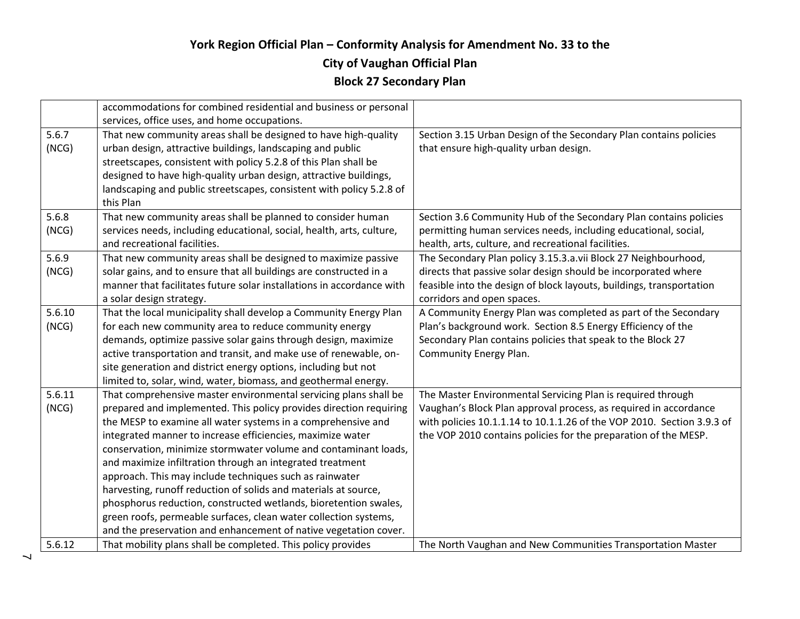#### **City of Vaughan Official Plan**

|        | accommodations for combined residential and business or personal      |                                                                        |
|--------|-----------------------------------------------------------------------|------------------------------------------------------------------------|
|        | services, office uses, and home occupations.                          |                                                                        |
| 5.6.7  | That new community areas shall be designed to have high-quality       | Section 3.15 Urban Design of the Secondary Plan contains policies      |
| (NCG)  | urban design, attractive buildings, landscaping and public            | that ensure high-quality urban design.                                 |
|        | streetscapes, consistent with policy 5.2.8 of this Plan shall be      |                                                                        |
|        | designed to have high-quality urban design, attractive buildings,     |                                                                        |
|        | landscaping and public streetscapes, consistent with policy 5.2.8 of  |                                                                        |
|        | this Plan                                                             |                                                                        |
| 5.6.8  | That new community areas shall be planned to consider human           | Section 3.6 Community Hub of the Secondary Plan contains policies      |
| (NCG)  | services needs, including educational, social, health, arts, culture, | permitting human services needs, including educational, social,        |
|        | and recreational facilities.                                          | health, arts, culture, and recreational facilities.                    |
| 5.6.9  | That new community areas shall be designed to maximize passive        | The Secondary Plan policy 3.15.3.a.vii Block 27 Neighbourhood,         |
| (NCG)  | solar gains, and to ensure that all buildings are constructed in a    | directs that passive solar design should be incorporated where         |
|        | manner that facilitates future solar installations in accordance with | feasible into the design of block layouts, buildings, transportation   |
|        | a solar design strategy.                                              | corridors and open spaces.                                             |
| 5.6.10 | That the local municipality shall develop a Community Energy Plan     | A Community Energy Plan was completed as part of the Secondary         |
| (NCG)  | for each new community area to reduce community energy                | Plan's background work. Section 8.5 Energy Efficiency of the           |
|        | demands, optimize passive solar gains through design, maximize        | Secondary Plan contains policies that speak to the Block 27            |
|        | active transportation and transit, and make use of renewable, on-     | Community Energy Plan.                                                 |
|        | site generation and district energy options, including but not        |                                                                        |
|        | limited to, solar, wind, water, biomass, and geothermal energy.       |                                                                        |
| 5.6.11 | That comprehensive master environmental servicing plans shall be      | The Master Environmental Servicing Plan is required through            |
| (NCG)  | prepared and implemented. This policy provides direction requiring    | Vaughan's Block Plan approval process, as required in accordance       |
|        | the MESP to examine all water systems in a comprehensive and          | with policies 10.1.1.14 to 10.1.1.26 of the VOP 2010. Section 3.9.3 of |
|        | integrated manner to increase efficiencies, maximize water            | the VOP 2010 contains policies for the preparation of the MESP.        |
|        | conservation, minimize stormwater volume and contaminant loads,       |                                                                        |
|        | and maximize infiltration through an integrated treatment             |                                                                        |
|        | approach. This may include techniques such as rainwater               |                                                                        |
|        | harvesting, runoff reduction of solids and materials at source,       |                                                                        |
|        | phosphorus reduction, constructed wetlands, bioretention swales,      |                                                                        |
|        | green roofs, permeable surfaces, clean water collection systems,      |                                                                        |
|        | and the preservation and enhancement of native vegetation cover.      |                                                                        |
| 5.6.12 | That mobility plans shall be completed. This policy provides          | The North Vaughan and New Communities Transportation Master            |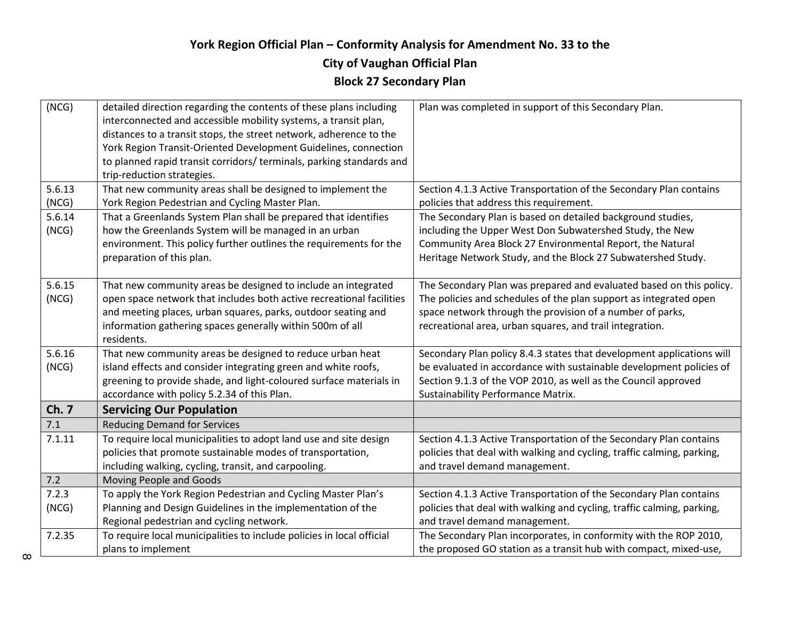## **York Region Official Plan – Conformity Analysis for Amendment No. 33 to the City of Vaughan Official Plan**

| (NCG)  | detailed direction regarding the contents of these plans including    | Plan was completed in support of this Secondary Plan.                  |
|--------|-----------------------------------------------------------------------|------------------------------------------------------------------------|
|        | interconnected and accessible mobility systems, a transit plan,       |                                                                        |
|        | distances to a transit stops, the street network, adherence to the    |                                                                        |
|        | York Region Transit-Oriented Development Guidelines, connection       |                                                                        |
|        | to planned rapid transit corridors/ terminals, parking standards and  |                                                                        |
|        | trip-reduction strategies.                                            |                                                                        |
| 5.6.13 | That new community areas shall be designed to implement the           | Section 4.1.3 Active Transportation of the Secondary Plan contains     |
| (NCG)  | York Region Pedestrian and Cycling Master Plan.                       | policies that address this requirement.                                |
| 5.6.14 | That a Greenlands System Plan shall be prepared that identifies       | The Secondary Plan is based on detailed background studies,            |
| (NCG)  | how the Greenlands System will be managed in an urban                 | including the Upper West Don Subwatershed Study, the New               |
|        | environment. This policy further outlines the requirements for the    | Community Area Block 27 Environmental Report, the Natural              |
|        | preparation of this plan.                                             | Heritage Network Study, and the Block 27 Subwatershed Study.           |
|        |                                                                       |                                                                        |
| 5.6.15 | That new community areas be designed to include an integrated         | The Secondary Plan was prepared and evaluated based on this policy.    |
| (NCG)  | open space network that includes both active recreational facilities  | The policies and schedules of the plan support as integrated open      |
|        | and meeting places, urban squares, parks, outdoor seating and         | space network through the provision of a number of parks,              |
|        | information gathering spaces generally within 500m of all             | recreational area, urban squares, and trail integration.               |
|        | residents.                                                            |                                                                        |
| 5.6.16 | That new community areas be designed to reduce urban heat             | Secondary Plan policy 8.4.3 states that development applications will  |
| (NCG)  | island effects and consider integrating green and white roofs,        | be evaluated in accordance with sustainable development policies of    |
|        | greening to provide shade, and light-coloured surface materials in    | Section 9.1.3 of the VOP 2010, as well as the Council approved         |
|        | accordance with policy 5.2.34 of this Plan.                           | Sustainability Performance Matrix.                                     |
| Ch. 7  | <b>Servicing Our Population</b>                                       |                                                                        |
| 7.1    | <b>Reducing Demand for Services</b>                                   |                                                                        |
| 7.1.11 | To require local municipalities to adopt land use and site design     | Section 4.1.3 Active Transportation of the Secondary Plan contains     |
|        | policies that promote sustainable modes of transportation,            | policies that deal with walking and cycling, traffic calming, parking, |
|        | including walking, cycling, transit, and carpooling.                  | and travel demand management.                                          |
| 7.2    | Moving People and Goods                                               |                                                                        |
| 7.2.3  | To apply the York Region Pedestrian and Cycling Master Plan's         | Section 4.1.3 Active Transportation of the Secondary Plan contains     |
| (NCG)  | Planning and Design Guidelines in the implementation of the           | policies that deal with walking and cycling, traffic calming, parking, |
|        | Regional pedestrian and cycling network.                              | and travel demand management.                                          |
| 7.2.35 | To require local municipalities to include policies in local official | The Secondary Plan incorporates, in conformity with the ROP 2010,      |
|        | plans to implement                                                    | the proposed GO station as a transit hub with compact, mixed-use,      |